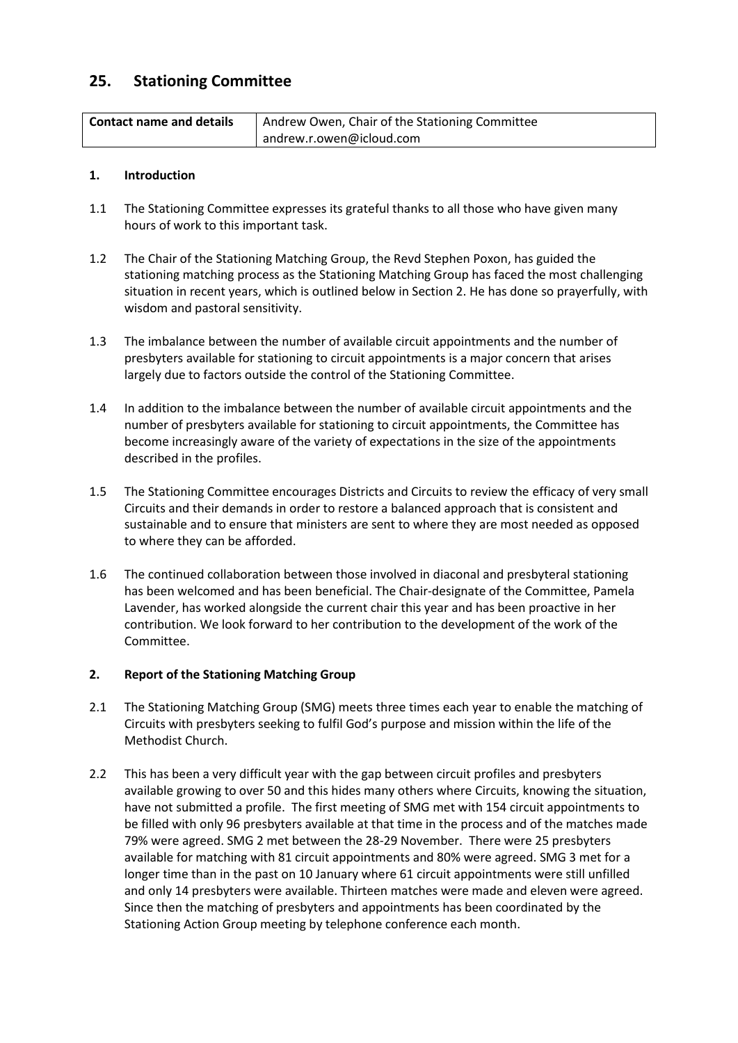# **25. Stationing Committee**

| <b>Contact name and details</b> | Andrew Owen, Chair of the Stationing Committee |  |  |  |
|---------------------------------|------------------------------------------------|--|--|--|
|                                 | andrew.r.owen@icloud.com                       |  |  |  |

## **1. Introduction**

- 1.1 The Stationing Committee expresses its grateful thanks to all those who have given many hours of work to this important task.
- 1.2 The Chair of the Stationing Matching Group, the Revd Stephen Poxon, has guided the stationing matching process as the Stationing Matching Group has faced the most challenging situation in recent years, which is outlined below in Section 2. He has done so prayerfully, with wisdom and pastoral sensitivity.
- 1.3 The imbalance between the number of available circuit appointments and the number of presbyters available for stationing to circuit appointments is a major concern that arises largely due to factors outside the control of the Stationing Committee.
- 1.4 In addition to the imbalance between the number of available circuit appointments and the number of presbyters available for stationing to circuit appointments, the Committee has become increasingly aware of the variety of expectations in the size of the appointments described in the profiles.
- 1.5 The Stationing Committee encourages Districts and Circuits to review the efficacy of very small Circuits and their demands in order to restore a balanced approach that is consistent and sustainable and to ensure that ministers are sent to where they are most needed as opposed to where they can be afforded.
- 1.6 The continued collaboration between those involved in diaconal and presbyteral stationing has been welcomed and has been beneficial. The Chair-designate of the Committee, Pamela Lavender, has worked alongside the current chair this year and has been proactive in her contribution. We look forward to her contribution to the development of the work of the Committee.

# **2. Report of the Stationing Matching Group**

- 2.1 The Stationing Matching Group (SMG) meets three times each year to enable the matching of Circuits with presbyters seeking to fulfil God's purpose and mission within the life of the Methodist Church.
- 2.2 This has been a very difficult year with the gap between circuit profiles and presbyters available growing to over 50 and this hides many others where Circuits, knowing the situation, have not submitted a profile. The first meeting of SMG met with 154 circuit appointments to be filled with only 96 presbyters available at that time in the process and of the matches made 79% were agreed. SMG 2 met between the 28-29 November. There were 25 presbyters available for matching with 81 circuit appointments and 80% were agreed. SMG 3 met for a longer time than in the past on 10 January where 61 circuit appointments were still unfilled and only 14 presbyters were available. Thirteen matches were made and eleven were agreed. Since then the matching of presbyters and appointments has been coordinated by the Stationing Action Group meeting by telephone conference each month.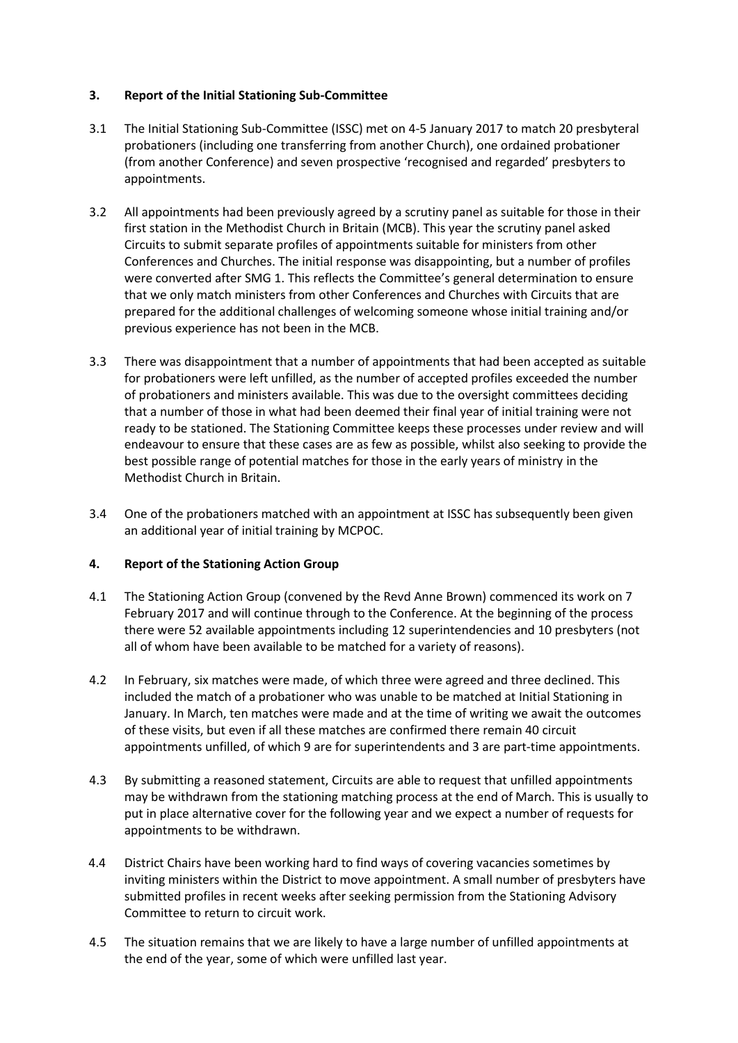# **3. Report of the Initial Stationing Sub-Committee**

- 3.1 The Initial Stationing Sub-Committee (ISSC) met on 4-5 January 2017 to match 20 presbyteral probationers (including one transferring from another Church), one ordained probationer (from another Conference) and seven prospective 'recognised and regarded' presbyters to appointments.
- 3.2 All appointments had been previously agreed by a scrutiny panel as suitable for those in their first station in the Methodist Church in Britain (MCB). This year the scrutiny panel asked Circuits to submit separate profiles of appointments suitable for ministers from other Conferences and Churches. The initial response was disappointing, but a number of profiles were converted after SMG 1. This reflects the Committee's general determination to ensure that we only match ministers from other Conferences and Churches with Circuits that are prepared for the additional challenges of welcoming someone whose initial training and/or previous experience has not been in the MCB.
- 3.3 There was disappointment that a number of appointments that had been accepted as suitable for probationers were left unfilled, as the number of accepted profiles exceeded the number of probationers and ministers available. This was due to the oversight committees deciding that a number of those in what had been deemed their final year of initial training were not ready to be stationed. The Stationing Committee keeps these processes under review and will endeavour to ensure that these cases are as few as possible, whilst also seeking to provide the best possible range of potential matches for those in the early years of ministry in the Methodist Church in Britain.
- 3.4 One of the probationers matched with an appointment at ISSC has subsequently been given an additional year of initial training by MCPOC.

# **4. Report of the Stationing Action Group**

- 4.1 The Stationing Action Group (convened by the Revd Anne Brown) commenced its work on 7 February 2017 and will continue through to the Conference. At the beginning of the process there were 52 available appointments including 12 superintendencies and 10 presbyters (not all of whom have been available to be matched for a variety of reasons).
- 4.2 In February, six matches were made, of which three were agreed and three declined. This included the match of a probationer who was unable to be matched at Initial Stationing in January. In March, ten matches were made and at the time of writing we await the outcomes of these visits, but even if all these matches are confirmed there remain 40 circuit appointments unfilled, of which 9 are for superintendents and 3 are part-time appointments.
- 4.3 By submitting a reasoned statement, Circuits are able to request that unfilled appointments may be withdrawn from the stationing matching process at the end of March. This is usually to put in place alternative cover for the following year and we expect a number of requests for appointments to be withdrawn.
- 4.4 District Chairs have been working hard to find ways of covering vacancies sometimes by inviting ministers within the District to move appointment. A small number of presbyters have submitted profiles in recent weeks after seeking permission from the Stationing Advisory Committee to return to circuit work.
- 4.5 The situation remains that we are likely to have a large number of unfilled appointments at the end of the year, some of which were unfilled last year.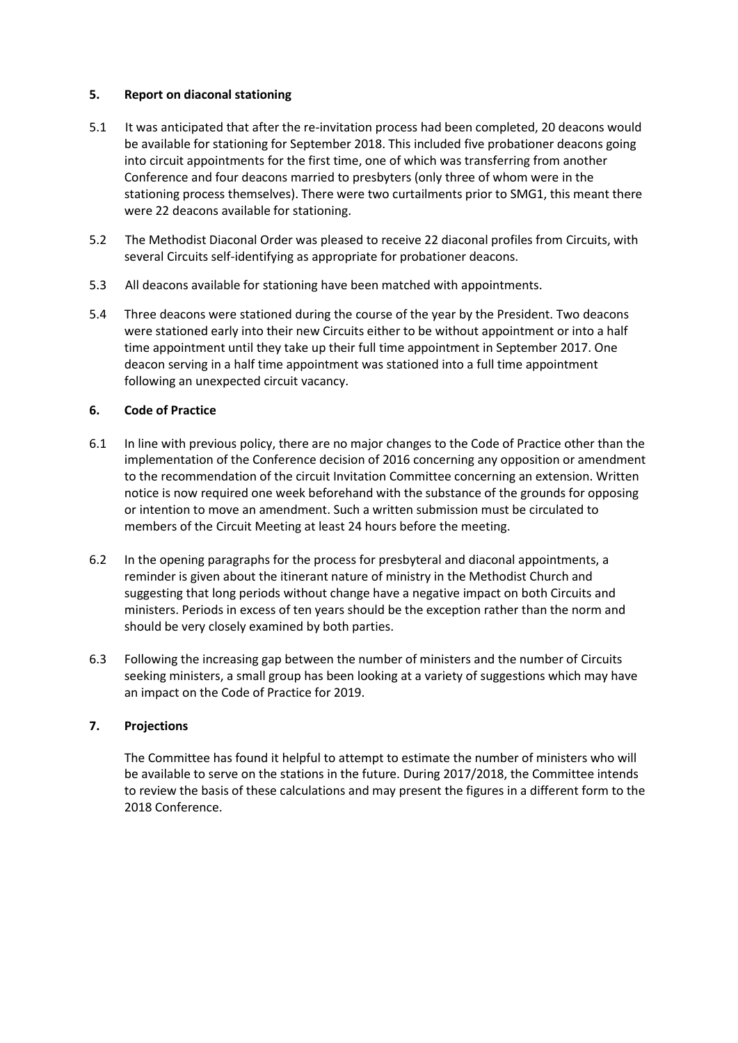## **5. Report on diaconal stationing**

- 5.1 It was anticipated that after the re-invitation process had been completed, 20 deacons would be available for stationing for September 2018. This included five probationer deacons going into circuit appointments for the first time, one of which was transferring from another Conference and four deacons married to presbyters (only three of whom were in the stationing process themselves). There were two curtailments prior to SMG1, this meant there were 22 deacons available for stationing.
- 5.2 The Methodist Diaconal Order was pleased to receive 22 diaconal profiles from Circuits, with several Circuits self-identifying as appropriate for probationer deacons.
- 5.3 All deacons available for stationing have been matched with appointments.
- 5.4 Three deacons were stationed during the course of the year by the President. Two deacons were stationed early into their new Circuits either to be without appointment or into a half time appointment until they take up their full time appointment in September 2017. One deacon serving in a half time appointment was stationed into a full time appointment following an unexpected circuit vacancy.

# **6. Code of Practice**

- 6.1 In line with previous policy, there are no major changes to the Code of Practice other than the implementation of the Conference decision of 2016 concerning any opposition or amendment to the recommendation of the circuit Invitation Committee concerning an extension. Written notice is now required one week beforehand with the substance of the grounds for opposing or intention to move an amendment. Such a written submission must be circulated to members of the Circuit Meeting at least 24 hours before the meeting.
- 6.2 In the opening paragraphs for the process for presbyteral and diaconal appointments, a reminder is given about the itinerant nature of ministry in the Methodist Church and suggesting that long periods without change have a negative impact on both Circuits and ministers. Periods in excess of ten years should be the exception rather than the norm and should be very closely examined by both parties.
- 6.3 Following the increasing gap between the number of ministers and the number of Circuits seeking ministers, a small group has been looking at a variety of suggestions which may have an impact on the Code of Practice for 2019.

### **7. Projections**

The Committee has found it helpful to attempt to estimate the number of ministers who will be available to serve on the stations in the future. During 2017/2018, the Committee intends to review the basis of these calculations and may present the figures in a different form to the 2018 Conference.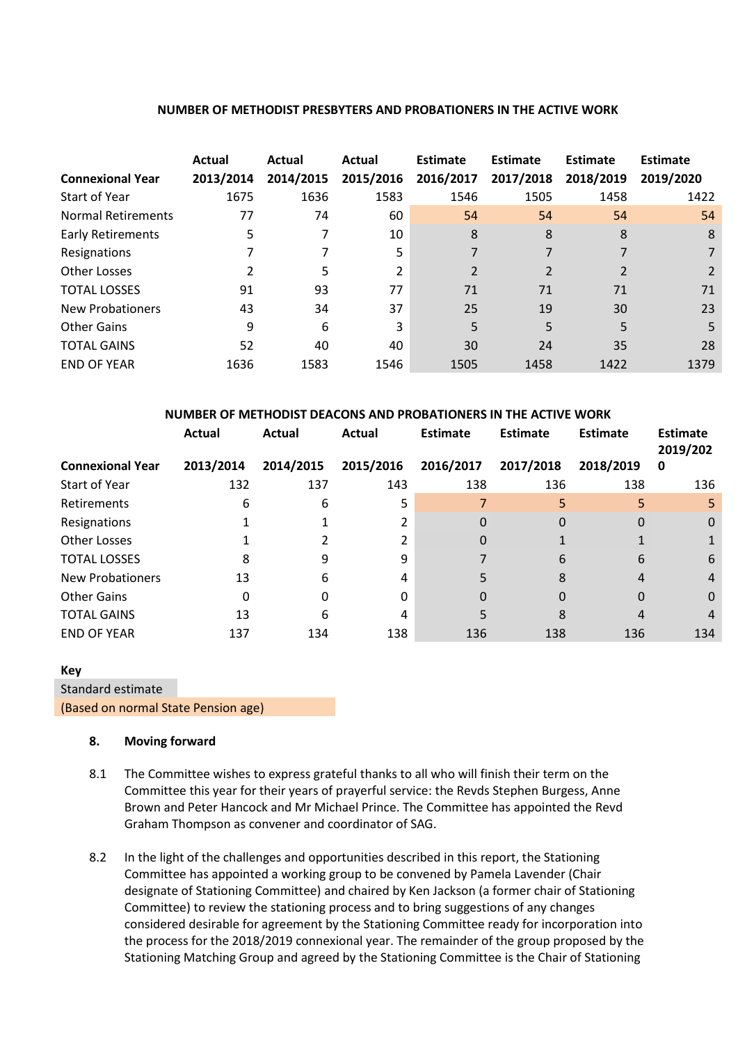#### **NUMBER OF METHODIST PRESBYTERS AND PROBATIONERS IN THE ACTIVE WORK**

| <b>Connexional Year</b>   | Actual<br>2013/2014 | Actual<br>2014/2015 | Actual<br>2015/2016 | Estimate<br>2016/2017 | Estimate<br>2017/2018 | Estimate<br>2018/2019 | Estimate<br>2019/2020 |
|---------------------------|---------------------|---------------------|---------------------|-----------------------|-----------------------|-----------------------|-----------------------|
| Start of Year             | 1675                | 1636                | 1583                | 1546                  | 1505                  | 1458                  | 1422                  |
| <b>Normal Retirements</b> | 77                  | 74                  | 60                  | 54                    | 54                    | 54                    | 54                    |
| <b>Early Retirements</b>  | 5                   | 7                   | 10                  | 8                     | 8                     | 8                     | 8                     |
| Resignations              |                     |                     | 5                   |                       |                       |                       |                       |
| Other Losses              |                     | 5                   | 2                   | $\overline{2}$        | 2                     | 2                     |                       |
| <b>TOTAL LOSSES</b>       | 91                  | 93                  | 77                  | 71                    | 71                    | 71                    | 71                    |
| <b>New Probationers</b>   | 43                  | 34                  | 37                  | 25                    | 19                    | 30                    | 23                    |
| <b>Other Gains</b>        | 9                   | 6                   | 3                   | 5                     | 5                     | 5                     | 5.                    |
| <b>TOTAL GAINS</b>        | 52                  | 40                  | 40                  | 30                    | 24                    | 35                    | 28                    |
| <b>END OF YEAR</b>        | 1636                | 1583                | 1546                | 1505                  | 1458                  | 1422                  | 1379                  |

|                  | <u>NUMBER OF METHODIST DEACONS AND FROBATIONERS IN THE ACTIVE WORK</u> |                                                     |        |                 |          |                 |                      |     |
|------------------|------------------------------------------------------------------------|-----------------------------------------------------|--------|-----------------|----------|-----------------|----------------------|-----|
|                  | Actual                                                                 | Actual                                              | Actual | <b>Estimate</b> | Estimate | <b>Estimate</b> | Estimate<br>2019/202 |     |
| Connexional Year | 2013/2014                                                              | 2014/2015 2015/2016 2016/2017 2017/2018 2018/2019 0 |        |                 |          |                 |                      |     |
| Start of Year    | 132                                                                    | 137                                                 | 143    | 138             | 136      | 138             |                      | 136 |

Retirements 6 6 5 7 5 5 5 Resignations 1 1 2 0 0 0 0 Other Losses 1 2 2 0 1 1 1 TOTAL LOSSES 8 9 9 9 7 6 6 6 New Probationers 13 6 4 5 8 4 4 Other Gains 0 0 0 0 0 0 0 TOTAL GAINS 13 6 4 5 8 4 4 END OF YEAR 137 134 138 136 138 136 134

**NUMBER OF METHODIST DEACONS AND PROBATIONERS IN THE ACTIVE WORK**

Standard estimate

(Based on normal State Pension age)

#### **8. Moving forward**

- 8.1 The Committee wishes to express grateful thanks to all who will finish their term on the Committee this year for their years of prayerful service: the Revds Stephen Burgess, Anne Brown and Peter Hancock and Mr Michael Prince. The Committee has appointed the Revd Graham Thompson as convener and coordinator of SAG.
- 8.2 In the light of the challenges and opportunities described in this report, the Stationing Committee has appointed a working group to be convened by Pamela Lavender (Chair designate of Stationing Committee) and chaired by Ken Jackson (a former chair of Stationing Committee) to review the stationing process and to bring suggestions of any changes considered desirable for agreement by the Stationing Committee ready for incorporation into the process for the 2018/2019 connexional year. The remainder of the group proposed by the Stationing Matching Group and agreed by the Stationing Committee is the Chair of Stationing